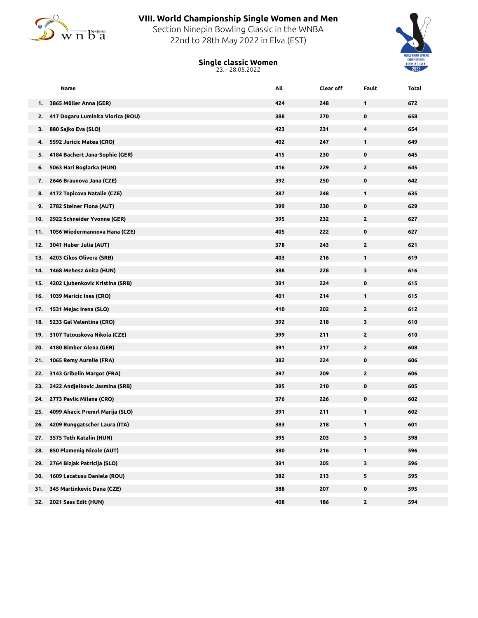

## **VIII. World Championship Single Women and Men**

Section Ninepin Bowling Classic in the WNBA 22nd to 28th May 2022 in Elva (EST)

## **Single classic Women**





| Name                                    | All | Clear off | Fault        | Total |
|-----------------------------------------|-----|-----------|--------------|-------|
| 3865 Müller Anna (GER)<br>1.            | 424 | 248       | 1            | 672   |
| 417 Dogaru Luminita Viorica (ROU)<br>2. | 388 | 270       | 0            | 658   |
| 880 Sajko Eva (SLO)<br>з.               | 423 | 231       | 4            | 654   |
| 5592 Juricic Matea (CRO)<br>4.          | 402 | 247       | 1            | 649   |
| 4184 Bachert Jana-Sophie (GER)<br>5.    | 415 | 230       | 0            | 645   |
| 5063 Hari Boglarka (HUN)<br>6.          | 416 | 229       | $\mathbf{2}$ | 645   |
| 2646 Braunova Jana (CZE)<br>7.          | 392 | 250       | 0            | 642   |
| 4172 Topicova Natalie (CZE)<br>8.       | 387 | 248       | 1            | 635   |
| 2782 Steiner Fiona (AUT)<br>9.          | 399 | 230       | 0            | 629   |
| 2922 Schneider Yvonne (GER)<br>10.      | 395 | 232       | $\mathbf{2}$ | 627   |
| 1056 Wiedermannova Hana (CZE)<br>11.    | 405 | 222       | 0            | 627   |
| 3041 Huber Julia (AUT)<br>12.           | 378 | 243       | 2            | 621   |
| 4203 Cikos Olivera (SRB)<br>13.         | 403 | 216       | 1            | 619   |
| 1468 Mehesz Anita (HUN)<br>14.          | 388 | 228       | 3            | 616   |
| 4202 Ljubenkovic Kristina (SRB)<br>15.  | 391 | 224       | 0            | 615   |
| 1039 Maricic Ines (CRO)<br>16.          | 401 | 214       | 1            | 615   |
| 1531 Mejac Irena (SLO)<br>17.           | 410 | 202       | $\mathbf{z}$ | 612   |
| 5233 Gal Valentina (CRO)<br>18.         | 392 | 218       | 3            | 610   |
| 3107 Tatouskova Nikola (CZE)<br>19.     | 399 | 211       | $\mathbf{2}$ | 610   |
| 4180 Bimber Alena (GER)<br>20.          | 391 | 217       | $\mathbf{2}$ | 608   |
| 1065 Remy Aurelie (FRA)<br>21.          | 382 | 224       | 0            | 606   |
| 3143 Gribelin Margot (FRA)<br>22.       | 397 | 209       | $\mathbf{2}$ | 606   |
| 2422 Andjelkovic Jasmina (SRB)<br>23.   | 395 | 210       | 0            | 605   |
| 2773 Pavlic Milana (CRO)<br>24.         | 376 | 226       | 0            | 602   |
| 4099 Ahacic Premrl Marija (SLO)<br>25.  | 391 | 211       | 1            | 602   |
| 4209 Runggatscher Laura (ITA)<br>26.    | 383 | 218       | 1            | 601   |
| 27.<br>3575 Toth Katalin (HUN)          | 395 | 203       | 3            | 598   |
| 850 Plamenig Nicole (AUT)<br>28.        | 380 | 216       | 1            | 596   |
| 2764 Bizjak Patricija (SLO)<br>29.      | 391 | 205       | 3            | 596   |
| 1609 Lacatusu Daniela (ROU)<br>30.      | 382 | 213       | 5            | 595   |
| 345 Martinkevic Dana (CZE)<br>31.       | 388 | 207       | 0            | 595   |
| 2021 Sass Edit (HUN)<br>32.             | 408 | 186       | $\mathbf{z}$ | 594   |